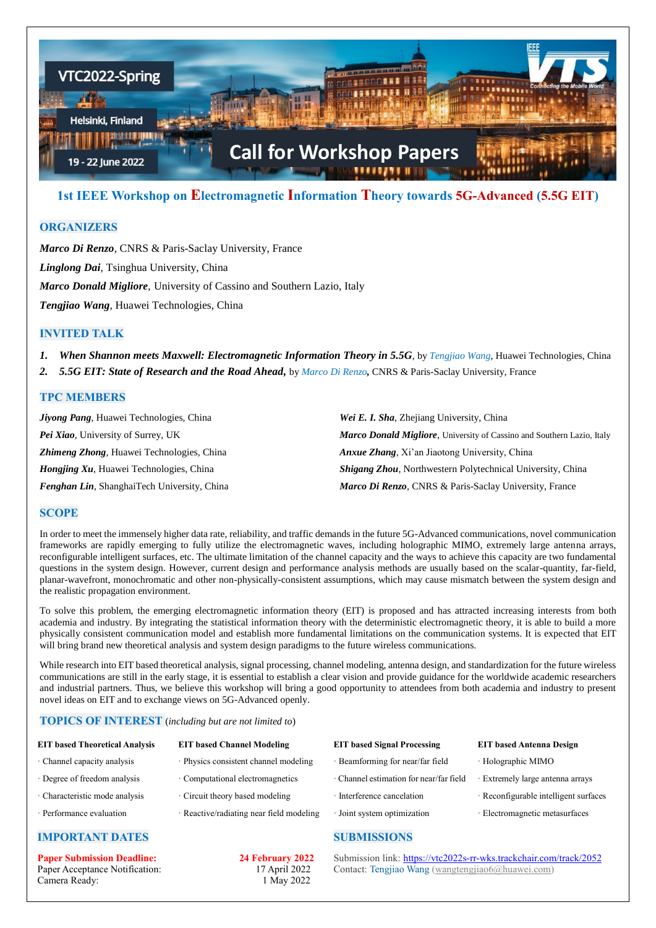

# **1st IEEE Workshop on Electromagnetic Information Theory towards 5G-Advanced (5.5G EIT)**

## **ORGANIZERS**

*Marco Di Renzo*, CNRS & Paris-Saclay University, France *Linglong Dai*, Tsinghua University, China *Marco Donald Migliore*, University of Cassino and Southern Lazio, Italy *Tengjiao Wang*, Huawei Technologies, China

## **INVITED TALK**

*1. When Shannon meets Maxwell: Electromagnetic Information Theory in 5.5G*, by *Tengjiao Wang*, Huawei Technologies, China

*2. 5.5G EIT: State of Research and the Road Ahead,* by *Marco Di Renzo,* CNRS & Paris-Saclay University, France

## **TPC MEMBERS**

| <b>Jiyong Pang, Huawei Technologies, China</b>     | Wei E. I. Sha, Zhejiang University, China                                     |  |
|----------------------------------------------------|-------------------------------------------------------------------------------|--|
| Pei Xiao, University of Surrey, UK                 | <b>Marco Donald Migliore, University of Cassino and Southern Lazio, Italy</b> |  |
| <b>Zhimeng Zhong, Huawei Technologies, China</b>   | <i>Anxue Zhang, Xi'an Jiaotong University, China</i>                          |  |
| <i>Hongjing Xu</i> , Huawei Technologies, China    | <b>Shigang Zhou, Northwestern Polytechnical University, China</b>             |  |
| <b>Fenghan Lin, ShanghaiTech University, China</b> | Marco Di Renzo, CNRS & Paris-Saclay University, France                        |  |

### **SCOPE**

In order to meet the immensely higher data rate, reliability, and traffic demands in the future 5G-Advanced communications, novel communication frameworks are rapidly emerging to fully utilize the electromagnetic waves, including holographic MIMO, extremely large antenna arrays, reconfigurable intelligent surfaces, etc. The ultimate limitation of the channel capacity and the ways to achieve this capacity are two fundamental questions in the system design. However, current design and performance analysis methods are usually based on the scalar-quantity, far-field, planar-wavefront, monochromatic and other non-physically-consistent assumptions, which may cause mismatch between the system design and the realistic propagation environment.

To solve this problem, the emerging electromagnetic information theory (EIT) is proposed and has attracted increasing interests from both academia and industry. By integrating the statistical information theory with the deterministic electromagnetic theory, it is able to build a more physically consistent communication model and establish more fundamental limitations on the communication systems. It is expected that EIT will bring brand new theoretical analysis and system design paradigms to the future wireless communications.

While research into EIT based theoretical analysis, signal processing, channel modeling, antenna design, and standardization for the future wireless communications are still in the early stage, it is essential to establish a clear vision and provide guidance for the worldwide academic researchers and industrial partners. Thus, we believe this workshop will bring a good opportunity to attendees from both academia and industry to present novel ideas on EIT and to exchange views on 5G-Advanced openly.

#### **TOPICS OF INTEREST** (*including but are not limited to*)

| <b>EIT based Theoretical Analysis</b> | <b>EIT based Channel Modeling</b>        | <b>EIT</b> based Signal Processing |
|---------------------------------------|------------------------------------------|------------------------------------|
| · Channel capacity analysis           | · Physics consistent channel modeling    | · Beamforming for near/far field   |
| · Degree of freedom analysis          | · Computational electromagnetics         | · Channel estimation for near/far  |
| · Characteristic mode analysis        | Circuit theory based modeling            | · Interference cancelation         |
| · Performance evaluation              | · Reactive/radiating near field modeling | · Joint system optimization        |

## **IMPORTANT DATES**

**Paper Submission Deadline: 24 February 2022** Paper Acceptance Notification: 17 April 2022 Camera Ready: 1 May 2022

- 
- 

## **SUBMISSIONS**

**EIT based Antenna Design** 

- · Holographic MIMO
- field · Extremely large antenna arrays
	- · Reconfigurable intelligent surfaces
	- · Electromagnetic metasurfaces

Submission link: <https://vtc2022s-rr-wks.trackchair.com/track/2052> Contact: Tengjiao Wang [\(wangtengjiao6@huawei.com\)](mailto:wangtengjiao6@huawei.com)